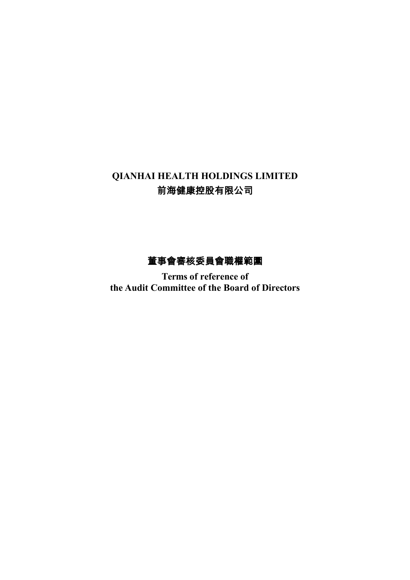# **QIANHAI HEALTH HOLDINGS LIMITED** 前海健康控股有限公司

# 董事會審核委員會職權範圍

**Terms of reference of the Audit Committee of the Board of Directors**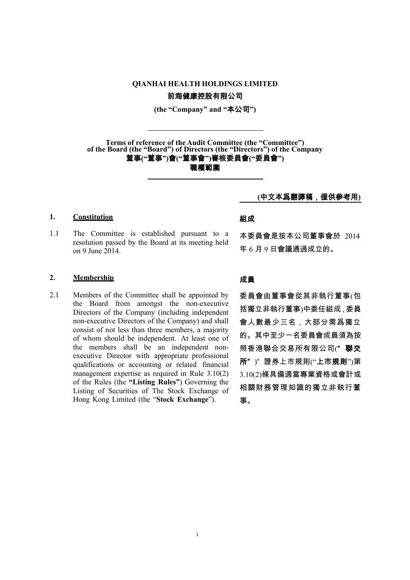# **QIANHAI HEALTH HOLDINGS LIMITED** 前海健康控股有限公司

**(the "Company" and "**本公司**")**

**Terms of reference of the Audit Committee (the "Committee") of the Board (the "Board") of Directors (the "Directors") of the Company** 董事**("**董事**")**會**("**董事會**")**審核委員會**("**委員會**") あまりのおよびのおよびの**構築をすることを考えることになります。<br>このことには、このことを考えることになります。<br>このことには、このことには、このことには、このことになっていることになっています。

**(**中文本爲翻譯稿,僅供參考用**)**

### 1. **Constitution** 細成

1.1 The Committee is established pursuant to a resolution passed by the Board at its meeting held on 9 June 2014.

### **2. Membership** 成員

2.1 Members of the Committee shall be appointed by the Board from amongst the non-executive Directors of the Company (including independent non-executive Directors of the Company) and shall consist of not less than three members, a majority of whom should be independent. At least one of the members shall be an independent nonexecutive Director with appropriate professional qualifications or accounting or related financial management expertise as required in Rule 3.10(2) of the Rules (the **"Listing Rules"**) Governing the Listing of Securities of The Stock Exchange of Hong Kong Limited (the "**Stock Exchange**").

本委員會是按本公司董事會於 2014 年 6 月 9 日會議通過成立的。

委員會由董事會從其非執行董事(包 括獨立非執行董事)中委任組成,委員 會人數最少三名,大部分需爲獨立 的。其中至少一名委員會成員須為按 照香港聯合交易所有限公司("聯交 所" )" 證券上市規則("上市規則")第 3.10(2)條具備適當專業資格或會計或 相關財務管理知識的獨立非執行董 事。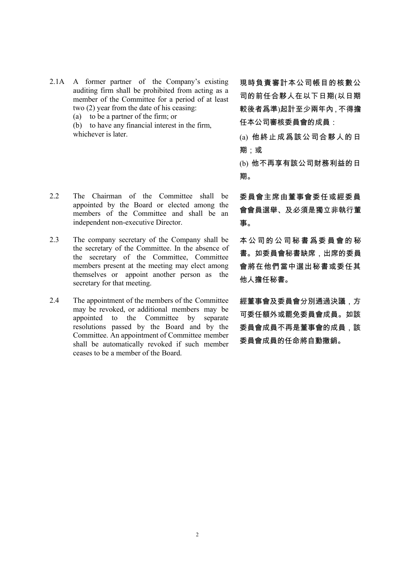- 2.1A A former partner of the Company's existing auditing firm shall be prohibited from acting as a member of the Committee for a period of at least two (2) year from the date of his ceasing:
	- (a) to be a partner of the firm; or

(b) to have any financial interest in the firm, whichever is later.

- 2.2 The Chairman of the Committee shall be appointed by the Board or elected among the members of the Committee and shall be an independent non-executive Director.
- 2.3 The company secretary of the Company shall be the secretary of the Committee. In the absence of the secretary of the Committee, Committee members present at the meeting may elect among themselves or appoint another person as the secretary for that meeting.
- 2.4 The appointment of the members of the Committee may be revoked, or additional members may be appointed to the Committee by separate resolutions passed by the Board and by the Committee. An appointment of Committee member shall be automatically revoked if such member ceases to be a member of the Board.

現時負責審計本公司帳目的核數公 司的前任合夥人在以下日期(以日期 較後者爲準)起計至少兩年內,不得擔 任本公司審核委員會的成員:

- (a) 他終止成爲該公司合夥人的日 期;或
- (b) 他不再享有該公司財務利益的日 期。

委員會主席由董事會委任或經委員 會會員選舉、及必須是獨立非執行董 事。

本 公 司 的 公 司 秘 書 爲 委 員 會 的 秘 書。如委員會秘書缺席,出席的委員 會將在他們當中選出秘書或委任其 他人擔任秘書。

經董事會及委員會分別通過決議,方 可委任額外或罷免委員會成員。如該 委員會成員不再是董事會的成員,該 委員會成員的任命將自動撤銷。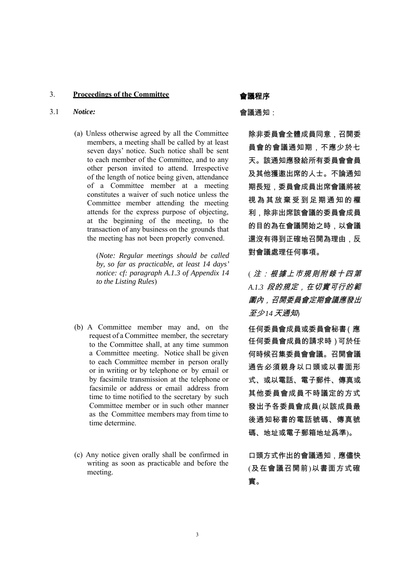# 3. **Proceedings of the Committee** 會議程序

### 3.1 *Notice:* 會議通知:

(a) Unless otherwise agreed by all the Committee members, a meeting shall be called by at least seven days' notice. Such notice shall be sent to each member of the Committee, and to any other person invited to attend. Irrespective of the length of notice being given, attendance of a Committee member at a meeting constitutes a waiver of such notice unless the Committee member attending the meeting attends for the express purpose of objecting, at the beginning of the meeting, to the transaction of any business on the grounds that the meeting has not been properly convened.

> (*Note: Regular meetings should be called by, so far as practicable, at least 14 days' notice: cf: paragraph A.1.3 of Appendix 14 to the Listing Rules*)

- (b) A Committee member may and, on the request of a Committee member, the secretary to the Committee shall, at any time summon a Committee meeting. Notice shall be given to each Committee member in person orally or in writing or by telephone or by email or by facsimile transmission at the telephone or facsimile or address or email address from time to time notified to the secretary by such Committee member or in such other manner as the Committee members may from time to time determine.
- (c) Any notice given orally shall be confirmed in writing as soon as practicable and before the meeting.

除非委員會全體成員同意,召開委 員會的會議通知期,不應少於七 天。該通知應發給所有委員會會員 及其他獲邀出席的人士。不論通知 期長短,委員會成員出席會議將被 視 為 其 放 棄 受 到 足 期 通 知 的 權 利,除非出席該會議的委員會成員 的目的為在會議開始之時,以會議 還沒有得到正確地召開為理由,反 對會議處理任何事項。

( 注:根據上巿規則附錄十四第 *A.1.3* 段的規定,在切實可行的範 圍內,召開委員會定期會議應發出 至少 *14* 天通知)

任何委員會成員或委員會秘書(應 任何委員會成員的請求時)可於任 何時候召集委員會會議。召開會議 通告必須親身以口頭或以書面形 式、或以電話、電子郵件、傳真或 其他委員會成員不時議定的方式 發出予各委員會成員(以該成員最 後通知秘書的電話號碼、傳真號 碼、地址或電子郵箱地址爲準)。

口頭方式作出的會議通知,應儘快 (及在會議召開前)以書面方式確 實。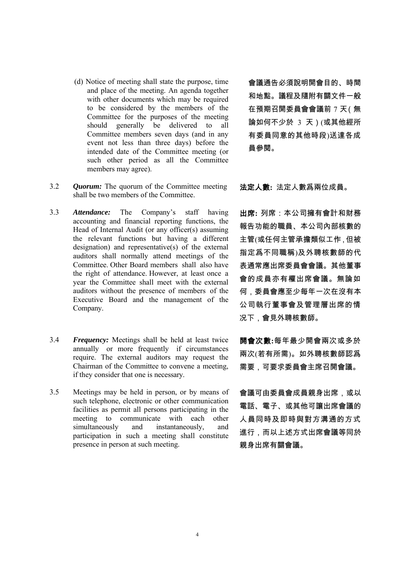- (d) Notice of meeting shall state the purpose, time and place of the meeting. An agenda together with other documents which may be required to be considered by the members of the Committee for the purposes of the meeting should generally be delivered to all Committee members seven days (and in any event not less than three days) before the intended date of the Committee meeting (or such other period as all the Committee members may agree).
- 3.2 *Quorum:* The quorum of the Committee meeting shall be two members of the Committee.
- 3.3 *Attendance:* The Company's staff having accounting and financial reporting functions, the Head of Internal Audit (or any officer(s) assuming the relevant functions but having a different designation) and representative(s) of the external auditors shall normally attend meetings of the Committee. Other Board members shall also have the right of attendance. However, at least once a year the Committee shall meet with the external auditors without the presence of members of the Executive Board and the management of the Company.
- 3.4 *Frequency:* Meetings shall be held at least twice annually or more frequently if circumstances require. The external auditors may request the Chairman of the Committee to convene a meeting, if they consider that one is necessary.
- 3.5 Meetings may be held in person, or by means of such telephone, electronic or other communication facilities as permit all persons participating in the meeting to communicate with each other simultaneously and instantaneously, and participation in such a meeting shall constitute presence in person at such meeting.

會議通告必須說明開會目的、時間 和地點。議程及隨附有關文件一般 在預期召開委員會會議前 7 天(無 論如何不少於 3 天)(或其他經所 有委員同意的其他時段)送達各成 員參閱。

法定人數**:** 法定人數爲兩位成員。

出席**:** 列席:本公司擁有會計和財務 報告功能的職員、本公司內部核數的 主管(或任何主管承擔類似工作,但被 指定爲不同職稱)及外聘核數師的代 表通常應出席委員會會議。其他董事 會的成員亦有權出席會議。無論如 何,委員會應至少每年一次在沒有本 公司執行董事會及管理層出席的情 况下,會見外聘核數師。

開會次數**:**每年最少開會兩次或多於 兩次(若有所需)。如外聘核數師認爲 需要,可要求委員會主席召開會議。

會議可由委員會成員親身出席,或以 電話、電子、或其他可讓出席會議的 人員同時及即時與對方溝通的方式 進行,而以上述方式出席會議等同於 親身出席有關會議。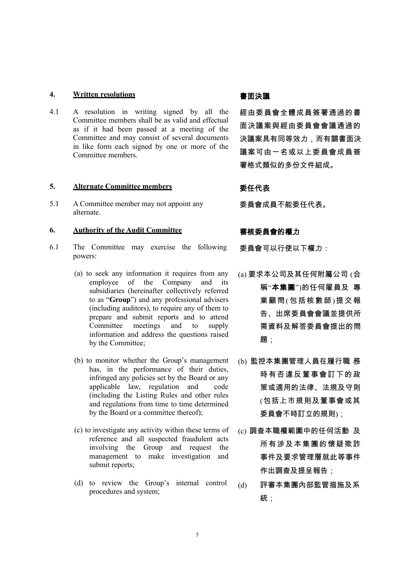### 4. Written resolutions **and a matter of the Markovice Telection and a matter of the Markovice Telection and a matter of the Markovice Telection and a matter of the Markovice Telection and a matter of the Markovice Telecti**

4.1 A resolution in writing signed by all the Committee members shall be as valid and effectual as if it had been passed at a meeting of the Committee and may consist of several documents in like form each signed by one or more of the Committee members.

### **5. Alternate Committee members** 委任代表

5.1 A Committee member may not appoint any alternate.

### **6. Authority of the Audit Committee** 審核委員會的權力

- 6.1 The Committee may exercise the following powers:
	- (a) to seek any information it requires from any employee of the Company and its subsidiaries (hereinafter collectively referred to as "**Group**") and any professional advisers (including auditors), to require any of them to prepare and submit reports and to attend Committee meetings and to supply information and address the questions raised by the Committee;
	- (b) to monitor whether the Group's management has, in the performance of their duties, infringed any policies set by the Board or any applicable law, regulation and code (including the Listing Rules and other rules and regulations from time to time determined by the Board or a committee thereof);
	- (c) to investigate any activity within these terms of reference and all suspected fraudulent acts involving the Group and request the management to make investigation and submit reports;
	- (d) to review the Group's internal control to review the Group's internal control  $(d)$  評審本集團內部監管措施及系 procedures and system;

經由委員會全體成員簽署通過的書 面決議案與經由委員會會議通過的 決議案具有同等效力,而有關書面決 議案可由一名或以上委員會成員簽 署格式類似的多份文件組成。

委員會成員不能委任代表。

委員會可以行使以下權力:

- (a) 要求本公司及其任何附屬公司 (合 稱"本集團")的任何雇員及 專 業顧問(包括核數師)提交報 告、出席委員會會議並提供所 需資料及解答委員會提出的問 題:
- (b) 監控本集團管理人員在履行職 務 時有否違反董事會訂下的政 策或適用的法律、法規及守則 (包括上市規則及董事會或其 委員會不時訂立的規則);
- (c) 調查本職權範圍中的任何活動 及 所有涉及本集團的懷疑欺詐 事件及要求管理層就此等事件 作出調查及提呈報告;
	- 統;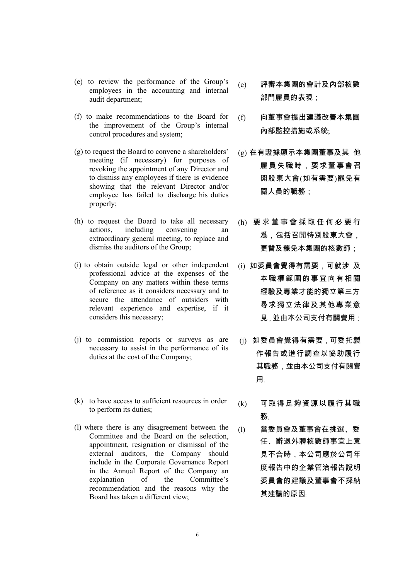- (e) to review the performance of the Group's employees in the accounting and internal audit department;
- (f) to make recommendations to the Board for the improvement of the Group's internal control procedures and system;
- (g) to request the Board to convene a shareholders' meeting (if necessary) for purposes of revoking the appointment of any Director and to dismiss any employees if there is evidence showing that the relevant Director and/or employee has failed to discharge his duties properly;
- (h) to request the Board to take all necessary actions, including convening an extraordinary general meeting, to replace and dismiss the auditors of the Group;
- (i) to obtain outside legal or other independent professional advice at the expenses of the Company on any matters within these terms of reference as it considers necessary and to secure the attendance of outsiders with relevant experience and expertise, if it considers this necessary;
- (j) to commission reports or surveys as are necessary to assist in the performance of its duties at the cost of the Company;
- (k) to have access to sufficient resources in order to have access to sufficient resources in order  $(k)$  可取得足夠資源以履行其職<br>to perform its duties;
- (l) where there is any disagreement between the Committee and the Board on the selection, appointment, resignation or dismissal of the external auditors, the Company should include in the Corporate Governance Report in the Annual Report of the Company an explanation of the Committee's recommendation and the reasons why the Board has taken a different view;
- (e) 評審本集團的會計及內部核數 部門雇員的表現;
- (f) 向董事會提出建議改善本集團 內部監控措施或系統;
- (g) 在有證據顯示本集團董事及其 他 雇員失職時,要求董事會召 開股東大會(如有需要)罷免有 關人員的職務;
- (h) 要求董事會採取任何必要行 爲,包括召開特別股東大會, 更替及罷免本集團的核數師;
- (i) 如委員會覺得有需要,可就涉 及 本職權範圍的事宜向有相關 經驗及專業才能的獨立第三方 尋求獨立法律及其他專業意 見,並由本公司支付有關費用;
- (j) 如委員會覺得有需要,可委托製 作報告或進行調查以協助履行 其職務,並由本公司支付有關費 用﹔
	- 務﹔
- (l) 當委員會及董事會在挑選、委 任、辭退外聘核數師事宜上意 見不合時,本公司應於公司年 度報告中的企業管治報告說明 委員會的建議及董事會不採納 其建議的原因﹔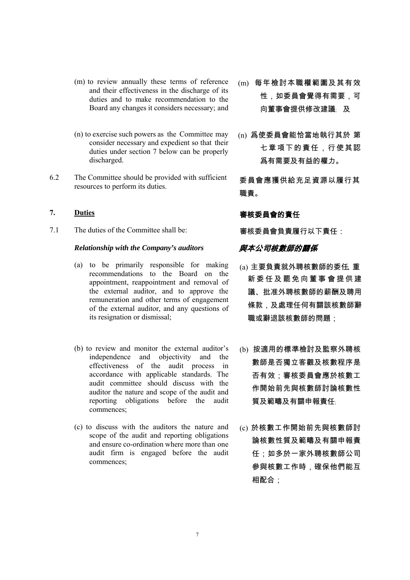- (m) to review annually these terms of reference and their effectiveness in the discharge of its duties and to make recommendation to the Board any changes it considers necessary; and
- (n) to exercise such powers as the Committee may consider necessary and expedient so that their duties under section 7 below can be properly discharged.
- 6.2 The Committee should be provided with sufficient The Committee should be provided with sufficient 委員會應獲供給充足資源以履行其<br>resources to perform its duties.

7.1 The duties of the Committee shall be: 審核委員會負責履行以下責任:

### Relationship with the Company's auditors **奥本公司核數師的關係**

- (a) to be primarily responsible for making recommendations to the Board on the appointment, reappointment and removal of the external auditor, and to approve the remuneration and other terms of engagement of the external auditor, and any questions of its resignation or dismissal;
- (b) to review and monitor the external auditor's independence and objectivity and the effectiveness of the audit process in accordance with applicable standards. The audit committee should discuss with the auditor the nature and scope of the audit and reporting obligations before the audit commences;
- (c) to discuss with the auditors the nature and scope of the audit and reporting obligations and ensure co-ordination where more than one audit firm is engaged before the audit commences;
- (m) 每年檢討本職權範圍及其有效 性,如委員會覺得有需要,可 向董事會提供修改建議﹔ 及
- (n) 爲使委員會能恰當地執行其於 第 七章項下的責任,行使其認 爲有需要及有益的權力。

職責。

# **7.** Duties **Duties and The Contract of The Property and The Property and The Property and The Property and The Property and The Property and The Property and The Property and The Property and The Property and The Prope**

- (a) 主要負責就外聘核數師的委任、重 新 委 任 及 罷 免 向 董 事 會 提 供 建 議、批准外聘核數師的薪酬及聘用 條款,及處理任何有關該核數師辭 職或辭退該核數師的問題;
- (b) 按適用的標準檢討及監察外聘核 數師是否獨立客觀及核數程序是 否有效;審核委員會應於核數工 作開始前先與核數師討論核數性 質及範疇及有關申報責任﹔
- (c) 於核數工作開始前先與核數師討 論核數性質及範疇及有關申報責 任;如多於一家外聘核數師公司 參與核數工作時,確保他們能互 相配合: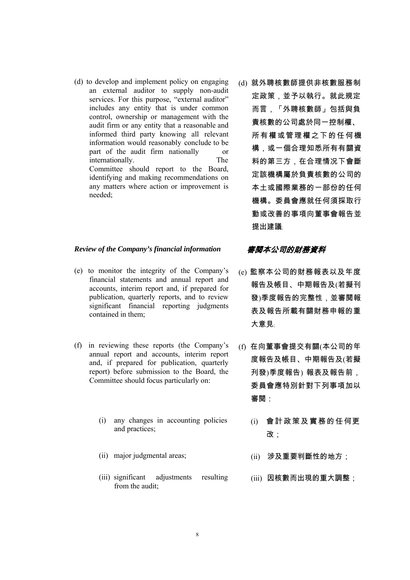(d) to develop and implement policy on engaging an external auditor to supply non-audit services. For this purpose, "external auditor" includes any entity that is under common control, ownership or management with the audit firm or any entity that a reasonable and informed third party knowing all relevant information would reasonably conclude to be part of the audit firm nationally or internationally. The Committee should report to the Board, identifying and making recommendations on any matters where action or improvement is needed;

### *Review of the Company's financial information* 審閱本公司的財務資料

- (e) to monitor the integrity of the Company's financial statements and annual report and accounts, interim report and, if prepared for publication, quarterly reports, and to review significant financial reporting judgments contained in them;
- (f) in reviewing these reports (the Company's annual report and accounts, interim report and, if prepared for publication, quarterly report) before submission to the Board, the Committee should focus particularly on:
	- (i) any changes in accounting policies and practices;
	-
	- (iii) significant adjustments resulting from the audit;

(d) 就外聘核數師提供非核數服務制 定政策,並予以執行。就此規定 而言,「外聘核數師」包括與負 責核數的公司處於同一控制權、 所有權或管理權之下的任何機 構,或一個合理知悉所有有關資 料的第三方,在合理情况下會斷 定該機構屬於負責核數的公司的 本土或國際業務的一部份的任何 機構。委員會應就任何須採取行 動或改善的事項向董事會報告並 提出建議﹔

- (e) 監察本公司的財務報表以及年度 報告及帳目、中期報告及(若擬刊 發)季度報告的完整性,並審閱報 表及報告所載有關財務申報的重 大意見﹔
- (f) 在向董事會提交有關(本公司的年 度報告及帳目、中期報告及(若擬 刋發)季度報告) 報表及報告前, 委員會應特別針對下列事項加以 審閱:
	- (i) 會 計 政 策 及 實 務 的 任 何更 改;
- (ii) major judgmental areas; <br> (ii) 涉及重要判斷性的地方;
	- (iii) 因核數而出現的重大調整;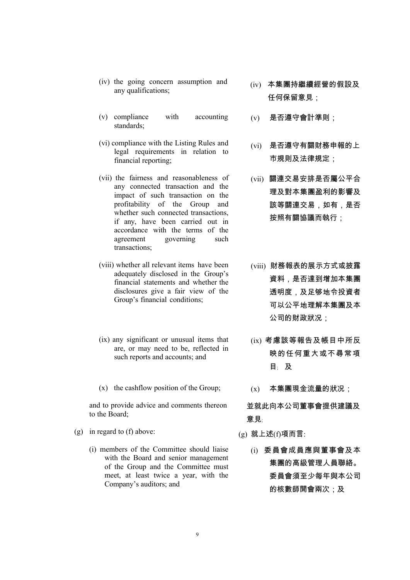standards;

(v) compliance with accounting

(iv) the going concern assumption and

- (vi) compliance with the Listing Rules and legal requirements in relation to financial reporting;
- (vii) the fairness and reasonableness of any connected transaction and the impact of such transaction on the profitability of the Group and whether such connected transactions, if any, have been carried out in accordance with the terms of the agreement governing such transactions;
- (viii) whether all relevant items have been adequately disclosed in the Group's financial statements and whether the disclosures give a fair view of the Group's financial conditions;
- (ix) any significant or unusual items that are, or may need to be, reflected in such reports and accounts; and
- (x) the cashflow position of the Group;  $(x)$  本集團現金流量的狀況;

and to provide advice and comments thereon to the Board;

- (g) in regard to (f) above:  $(g)$  就上述(f)項而言:
	- (i) members of the Committee should liaise with the Board and senior management of the Group and the Committee must meet, at least twice a year, with the Company's auditors; and
- the going concern assumption and  $(iv)$  本集團持繼續經營的假設及 any qualifications; 任何保留意見;
	- (v) 是否遵守會計準則;
	- (vi) 是否遵守有關財務申報的上 市規則及法律規定;
	- (vii) 關連交易安排是否屬公平合 理及對本集團盈利的影響及 該等關連交易,如有,是否 按照有關協議而執行;
	- (viii) 財務報表的展示方式或披露 資料,是否達到增加本集團 透明度,及足够地令投資者 可以公平地理解本集團及本 公司的財政狀况;
	- (ix) 考慮該等報告及帳目中所反 映的任何重大或不尋常項 目﹔ 及
	-

並就此向本公司董事會提供建議及 意見﹔

- - (i) 委員會成員應與董事會及本 集團的高級管理人員聯絡。 委員會須至少每年與本公司 的核數師開會兩次;及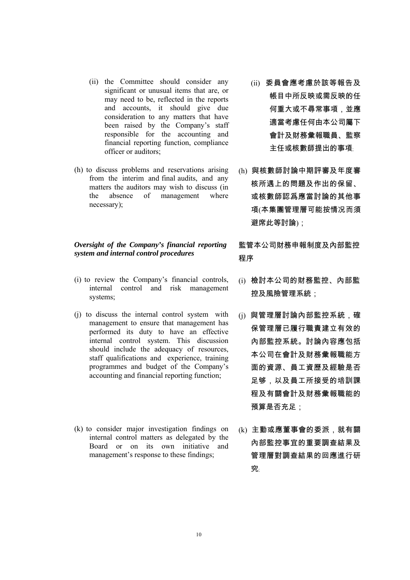- (ii) the Committee should consider any significant or unusual items that are, or may need to be, reflected in the reports and accounts, it should give due consideration to any matters that have been raised by the Company's staff responsible for the accounting and financial reporting function, compliance officer or auditors;
- (h) to discuss problems and reservations arising from the interim and final audits, and any matters the auditors may wish to discuss (in the absence of management where necessary);

### *Oversight of the Company's financial reporting system and internal control procedures*

- (i) to review the Company's financial controls, internal control and risk management systems;
- (j) to discuss the internal control system with management to ensure that management has performed its duty to have an effective internal control system. This discussion should include the adequacy of resources, staff qualifications and experience, training programmes and budget of the Company's accounting and financial reporting function;
- (k) to consider major investigation findings on internal control matters as delegated by the Board or on its own initiative and management's response to these findings;
- (ii) 委員會應考慮於該等報告及 帳目中所反映或需反映的任 何重大或不尋常事項,並應 適當考慮任何由本公司屬下 會計及財務彙報職員、監察 主任或核數師提出的事項
- (h) 與核數師討論中期評審及年度審 核所遇上的問題及作出的保留、 或核數師認爲應當討論的其他事 項(本集團管理層可能按情况而須 避席此等討論);

監管本公司財務申報制度及內部監控 程序

- (i) 檢討本公司的財務監控、內部監 控及風險管理系統;
- (j) 與管理層討論內部監控系統,確 保管理層已履行職責建立有效的 內部監控系統。討論內容應包括 本公司在會計及財務彙報職能方 面的資源、員工資歷及經驗是否 足够,以及員工所接受的培訓課 程及有關會計及財務彙報職能的 預算是否充足;
- (k) 主動或應董事會的委派,就有關 內部監控事宜的重要調查結果及 管理層對調查結果的回應進行研 究﹔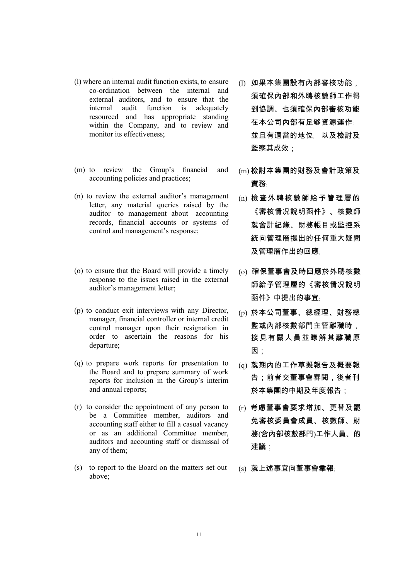- (l) where an internal audit function exists, to ensure co-ordination between the internal and external auditors, and to ensure that the internal audit function is adequately resourced and has appropriate standing within the Company, and to review and monitor its effectiveness;
- (m) to review the Group's financial and accounting policies and practices;
- (n) to review the external auditor's management letter, any material queries raised by the auditor to management about accounting records, financial accounts or systems of control and management's response;
- (o) to ensure that the Board will provide a timely response to the issues raised in the external auditor's management letter;
- (p) to conduct exit interviews with any Director, manager, financial controller or internal credit control manager upon their resignation in order to ascertain the reasons for his departure;
- (q) to prepare work reports for presentation to the Board and to prepare summary of work reports for inclusion in the Group's interim and annual reports;
- (r) to consider the appointment of any person to be a Committee member, auditors and accounting staff either to fill a casual vacancy or as an additional Committee member, auditors and accounting staff or dismissal of any of them;
- (s) to report to the Board on the matters set out above;
- (l) 如果本集團設有內部審核功能, 須確保內部和外聘核數師工作得 到協調、也須確保內部審核功能 在本公司內部有足够資源運作 並且有適當的地位﹔ 以及檢討及 監察其成效;
- (m) 檢討本集團的財務及會計政策及 實務﹔
- (n) 檢查外聘核數師給予管理層的 《審核情况說明函件》、核數師 就會計紀錄、財務帳目或監控系 統向管理層提出的任何重大疑問 及管理層作出的回應﹔
- (o) 確保董事會及時回應於外聘核數 師給予管理層的《審核情况說明 函件》中提出的事宜
- (p) 於本公司董事、總經理、財務總 監或內部核數部門主管離職時, 接見有關人員並瞭解其離職原 因:
- (q) 就期內的工作草擬報告及概要報 告;前者交董事會審閱,後者刊 於本集團的中期及年度報告;
- (r) 考慮董事會要求增加、更替及罷 免審核委員會成員、核數師、財 務(含內部核數部門)工作人員、的 建議;
- (s) 就上述事宜向董事會彙報﹔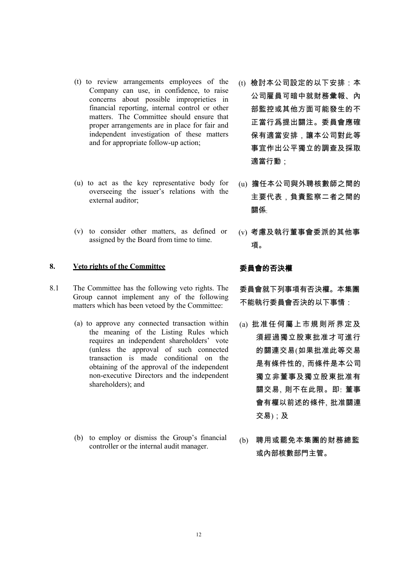- (t) to review arrangements employees of the Company can use, in confidence, to raise concerns about possible improprieties in financial reporting, internal control or other matters. The Committee should ensure that proper arrangements are in place for fair and independent investigation of these matters and for appropriate follow-up action;
- (u) to act as the key representative body for overseeing the issuer's relations with the external auditor;
- (v) to consider other matters, as defined or assigned by the Board from time to time.

### **8. Veto rights of the Committee** 委員會的否決權

- 8.1 The Committee has the following veto rights. The Group cannot implement any of the following matters which has been vetoed by the Committee:
	- (a) to approve any connected transaction within the meaning of the Listing Rules which requires an independent shareholders' vote (unless the approval of such connected transaction is made conditional on the obtaining of the approval of the independent non-executive Directors and the independent shareholders); and
	- (b) to employ or dismiss the Group's financial to employ or dismiss the Group's financial (b) 聘用或罷免本集團的財務總監<br>controller or the internal audit manager.
- (t) 檢討本公司設定的以下安排:本 公司雇員可暗中就財務彙報、內 部監控或其他方面可能發生的不 正當行爲提出關注。委員會應確 保有適當安排,讓本公司對此等 事宜作出公平獨立的調查及採取 適當行動;
- (u) 擔任本公司與外聘核數師之間的 主要代表,負責監察二者之間的 關係﹔
- (v) 考慮及執行董事會委派的其他事 項。

委員會就下列事項有否決權。本集團 不能執行委員會否決的以下事情:

- (a) 批准任何屬上市規則所界定及 須經過獨立股東批准才可進行 的關連交易(如果批准此等交易 是有條件性的, 而條件是本公司 獨立非董事及獨立股東批准有 關交易, 則不在此限。即: 董事 會有權以前述的條件, 批准關連 交易);及
- 或內部核數部門主管。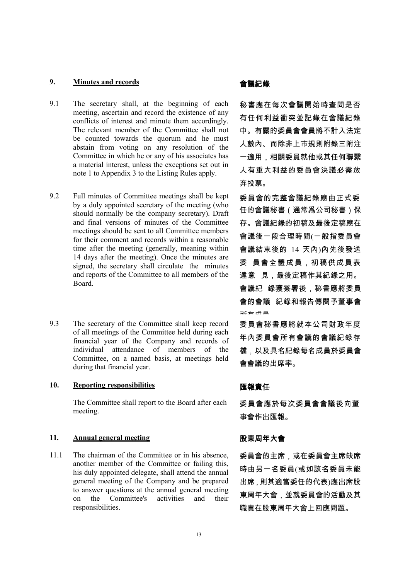### **9. Minutes and records** 會議紀錄

- 9.1 The secretary shall, at the beginning of each meeting, ascertain and record the existence of any conflicts of interest and minute them accordingly. The relevant member of the Committee shall not be counted towards the quorum and he must abstain from voting on any resolution of the Committee in which he or any of his associates has a material interest, unless the exceptions set out in note 1 to Appendix 3 to the Listing Rules apply.
- 9.2 Full minutes of Committee meetings shall be kept by a duly appointed secretary of the meeting (who should normally be the company secretary). Draft and final versions of minutes of the Committee meetings should be sent to all Committee members for their comment and records within a reasonable time after the meeting (generally, meaning within 14 days after the meeting). Once the minutes are signed, the secretary shall circulate the minutes and reports of the Committee to all members of the Board.
- 9.3 The secretary of the Committee shall keep record of all meetings of the Committee held during each financial year of the Company and records of individual attendance of members of the Committee, on a named basis, at meetings held during that financial year.

### 10. Reporting responsibilities **Example 10. Product** 雅報責任

The Committee shall report to the Board after each meeting.

### 11. **Annual general meeting** スクラントの 股東周年大會

11.1 The chairman of the Committee or in his absence, another member of the Committee or failing this, his duly appointed delegate, shall attend the annual general meeting of the Company and be prepared to answer questions at the annual general meeting on the Committee's activities and their responsibilities.

秘書應在每次會議開始時查問是否 有任何利益衝突並記錄在會議紀錄 中。有關的委員會會員將不計入法定 人數內、而除非上市規則附錄三附注 一適用,相關委員就他或其任何聯繫 人有重大利益的委員會決議必需放 弃投票。

委員會的完整會議紀錄應由正式委 任的會議秘書(通常爲公司秘書)保 存。會議紀錄的初稿及最後定稿應在 會議後一段合理時間(一般指委員會 會議結束後的 14 天內)內先後發送 委 員會全體成員,初稿供成員表 達意 見,最後定稿作其紀錄之用。 會議紀 錄獲簽署後,秘書應將委員 會的會議 紀錄和報告傳閱予董事會 所有成員

委員會秘書應將就本公司財政年度 年內委員會所有會議的會議紀錄存 檔,以及具名紀錄每名成員於委員會 會會議的出席率。

委員會應於每次委員會會議後向董 事會作出匯報。

委員會的主席,或在委員會主席缺席 時由另一名委員(或如該名委員未能 出席,則其適當委任的代表)應出席股 東周年大會,並就委員會的活動及其 職責在股東周年大會上回應問題。